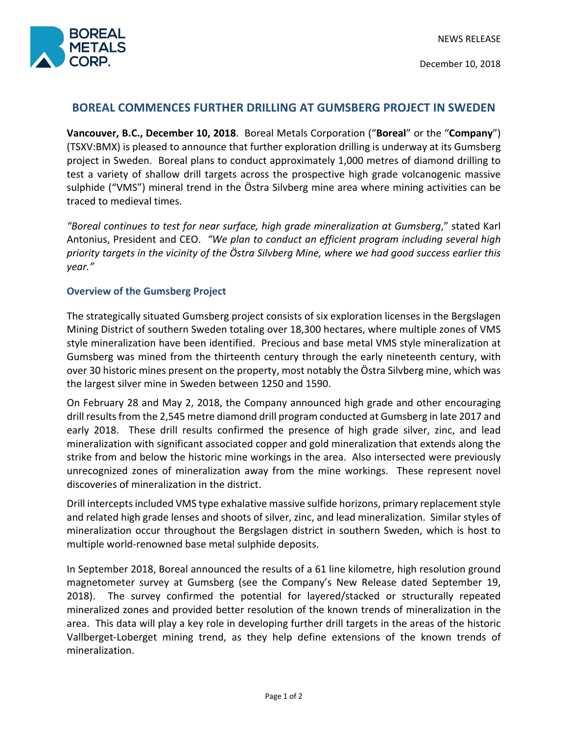

December 10, 2018

# **BOREAL COMMENCES FURTHER DRILLING AT GUMSBERG PROJECT IN SWEDEN**

**Vancouver, B.C., December 10, 2018**. Boreal Metals Corporation ("**Boreal**" or the "**Company**") (TSXV:BMX) is pleased to announce that further exploration drilling is underway at its Gumsberg project in Sweden. Boreal plans to conduct approximately 1,000 metres of diamond drilling to test a variety of shallow drill targets across the prospective high grade volcanogenic massive sulphide ("VMS") mineral trend in the Östra Silvberg mine area where mining activities can be traced to medieval times.

*"Boreal continues to test for near surface, high grade mineralization at Gumsberg*," stated Karl Antonius, President and CEO. *"We plan to conduct an efficient program including several high priority targets in the vicinity of the Östra Silvberg Mine, where we had good success earlier this year."*

## **Overview of the Gumsberg Project**

The strategically situated Gumsberg project consists of six exploration licenses in the Bergslagen Mining District of southern Sweden totaling over 18,300 hectares, where multiple zones of VMS style mineralization have been identified. Precious and base metal VMS style mineralization at Gumsberg was mined from the thirteenth century through the early nineteenth century, with over 30 historic mines present on the property, most notably the Östra Silvberg mine, which was the largest silver mine in Sweden between 1250 and 1590.

On February 28 and May 2, 2018, the Company announced high grade and other encouraging drill results from the 2,545 metre diamond drill program conducted at Gumsberg in late 2017 and early 2018. These drill results confirmed the presence of high grade silver, zinc, and lead mineralization with significant associated copper and gold mineralization that extends along the strike from and below the historic mine workings in the area. Also intersected were previously unrecognized zones of mineralization away from the mine workings. These represent novel discoveries of mineralization in the district.

Drill intercepts included VMS type exhalative massive sulfide horizons, primary replacement style and related high grade lenses and shoots of silver, zinc, and lead mineralization. Similar styles of mineralization occur throughout the Bergslagen district in southern Sweden, which is host to multiple world-renowned base metal sulphide deposits.

In September 2018, Boreal announced the results of a 61 line kilometre, high resolution ground magnetometer survey at Gumsberg (see the Company's New Release dated September 19, 2018). The survey confirmed the potential for layered/stacked or structurally repeated mineralized zones and provided better resolution of the known trends of mineralization in the area. This data will play a key role in developing further drill targets in the areas of the historic Vallberget-Loberget mining trend, as they help define extensions of the known trends of mineralization.